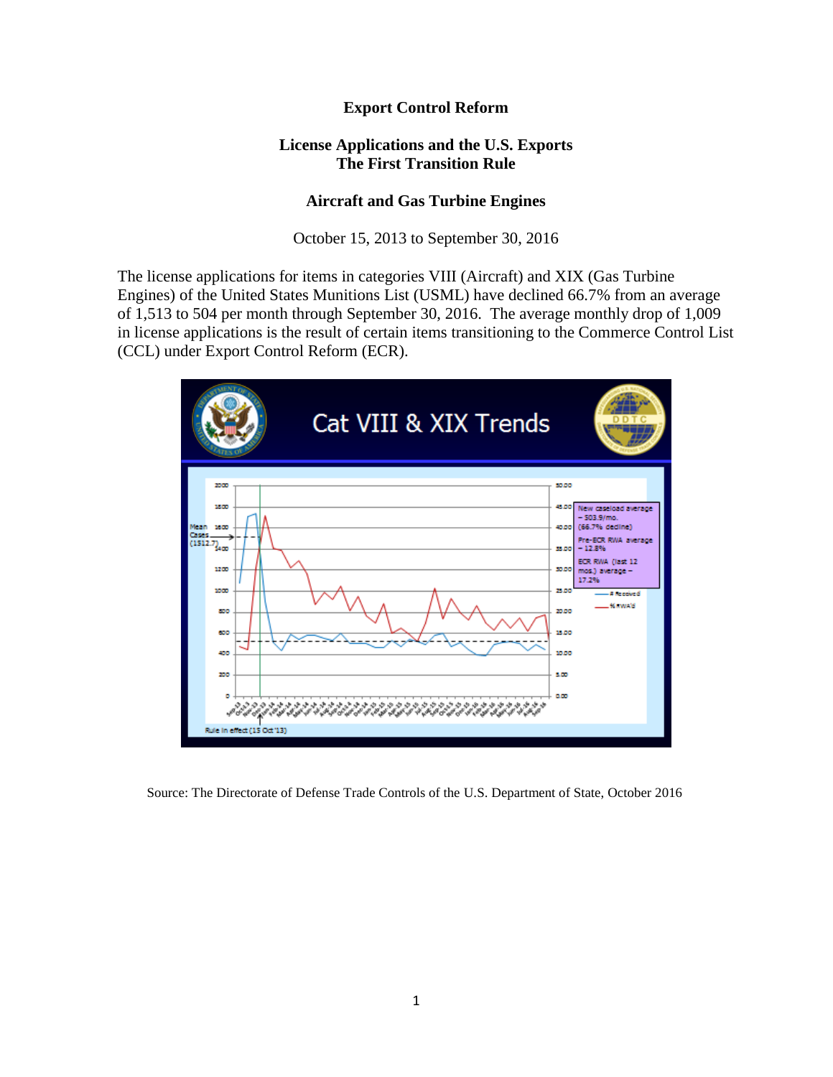## **Export Control Reform**

## **License Applications and the U.S. Exports The First Transition Rule**

## **Aircraft and Gas Turbine Engines**

October 15, 2013 to September 30, 2016

The license applications for items in categories VIII (Aircraft) and XIX (Gas Turbine Engines) of the United States Munitions List (USML) have declined 66.7% from an average of 1,513 to 504 per month through September 30, 2016. The average monthly drop of 1,009 in license applications is the result of certain items transitioning to the Commerce Control List (CCL) under Export Control Reform (ECR).



Source: The Directorate of Defense Trade Controls of the U.S. Department of State, October 2016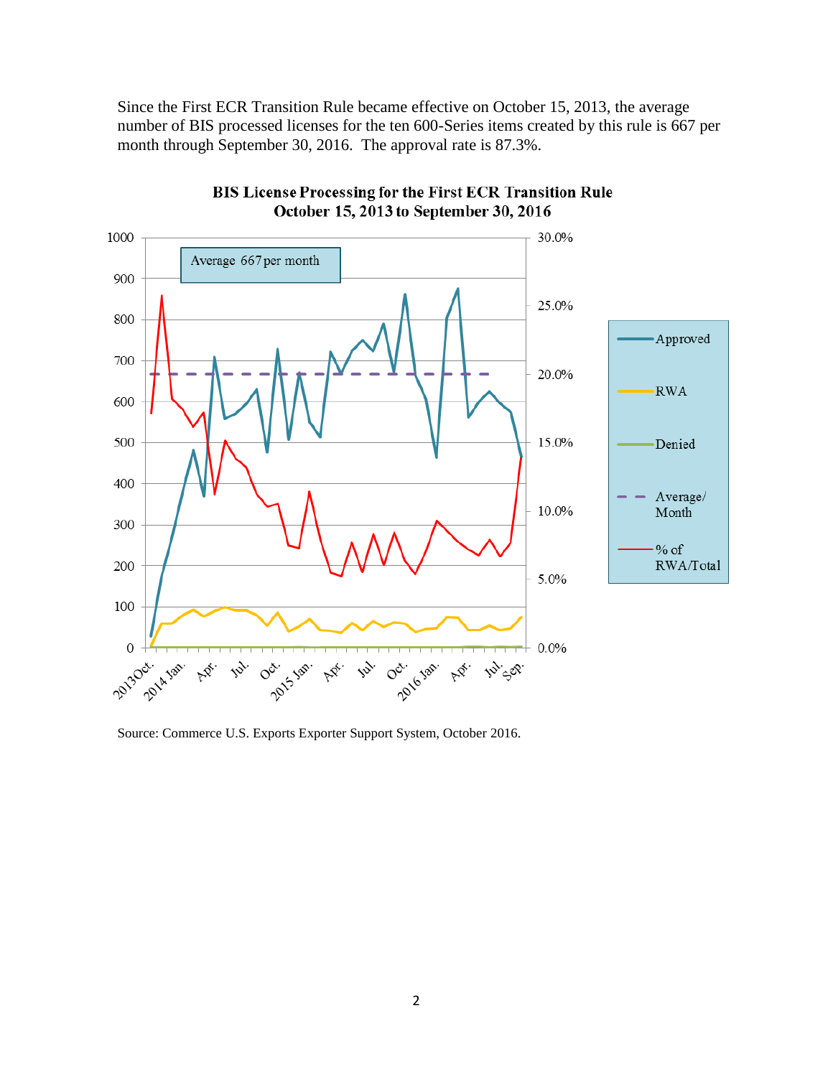Since the First ECR Transition Rule became effective on October 15, 2013, the average number of BIS processed licenses for the ten 600-Series items created by this rule is 667 per month through September 30, 2016. The approval rate is 87.3%.



**BIS License Processing for the First ECR Transition Rule** October 15, 2013 to September 30, 2016

Source: Commerce U.S. Exports Exporter Support System, October 2016.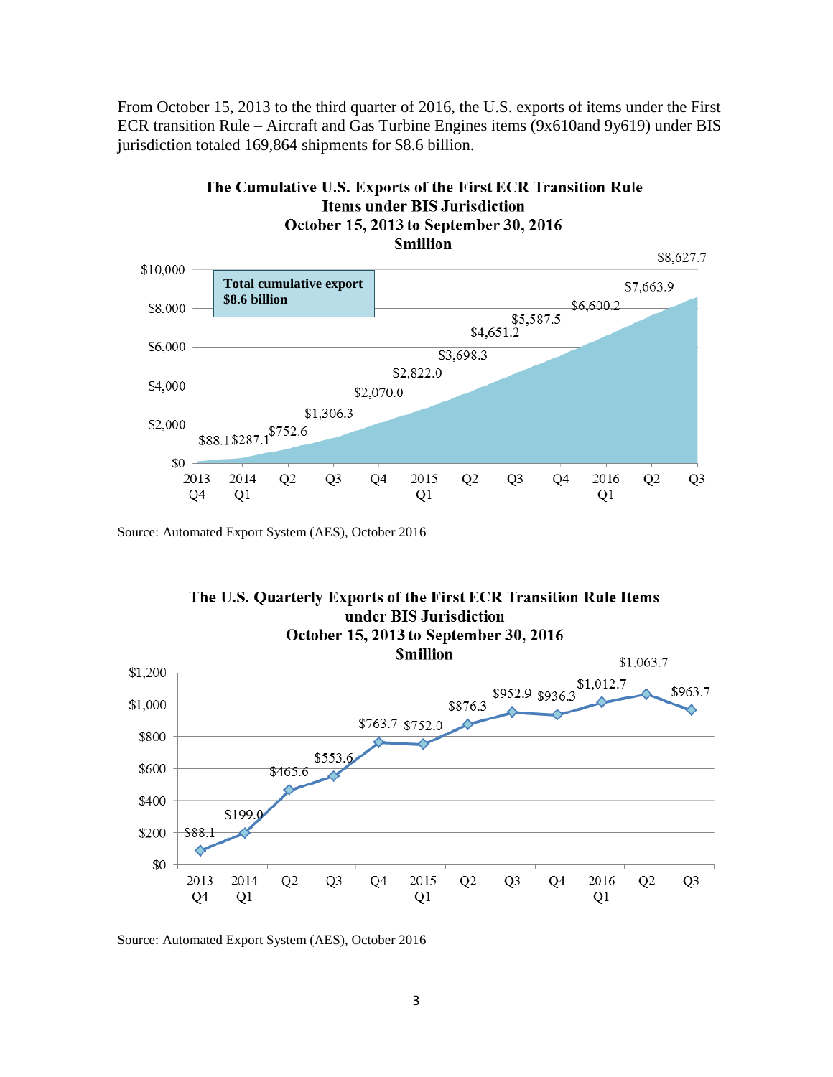From October 15, 2013 to the third quarter of 2016, the U.S. exports of items under the First ECR transition Rule – Aircraft and Gas Turbine Engines items (9x610and 9y619) under BIS jurisdiction totaled 169,864 shipments for \$8.6 billion.



Source: Automated Export System (AES), October 2016



Source: Automated Export System (AES), October 2016